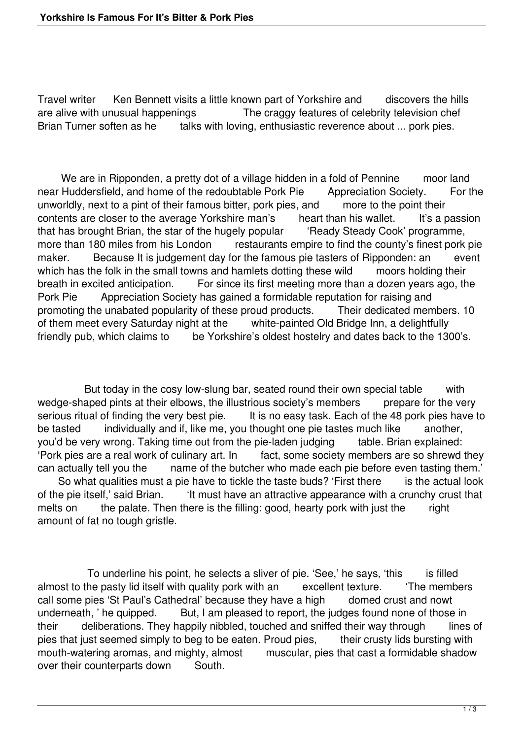Travel writer Ken Bennett visits a little known part of Yorkshire and discovers the hills are alive with unusual happenings The craggy features of celebrity television chef Brian Turner soften as he talks with loving, enthusiastic reverence about ... pork pies.

We are in Ripponden, a pretty dot of a village hidden in a fold of Pennine moor land near Huddersfield, and home of the redoubtable Pork Pie Appreciation Society. For the unworldly, next to a pint of their famous bitter, pork pies, and more to the point their contents are closer to the average Yorkshire man's heart than his wallet. It's a passion that has brought Brian, the star of the hugely popular 'Ready Steady Cook' programme, more than 180 miles from his London restaurants empire to find the county's finest pork pie maker. Because It is judgement day for the famous pie tasters of Ripponden: an event which has the folk in the small towns and hamlets dotting these wild moors holding their breath in excited anticipation. For since its first meeting more than a dozen years ago, the Pork Pie Appreciation Society has gained a formidable reputation for raising and promoting the unabated popularity of these proud products. Their dedicated members. 10<br>of them meet every Saturday night at the white-painted Old Bridge Inn, a delightfully white-painted Old Bridge Inn, a delightfully friendly pub, which claims to be Yorkshire's oldest hostelry and dates back to the 1300's.

But today in the cosy low-slung bar, seated round their own special table with wedge-shaped pints at their elbows, the illustrious society's members prepare for the very serious ritual of finding the very best pie. It is no easy task. Each of the 48 pork pies have to be tasted individually and if, like me, you thought one pie tastes much like another, you'd be very wrong. Taking time out from the pie-laden judging table. Brian explained: 'Pork pies are a real work of culinary art. In fact, some society members are so shrewd they can actually tell you the name of the butcher who made each pie before even tasting them.' So what qualities must a pie have to tickle the taste buds? 'First there is the actual look of the pie itself,' said Brian. 'It must have an attractive appearance with a crunchy crust that melts on the palate. Then there is the filling: good, hearty pork with just the right amount of fat no tough gristle.

To underline his point, he selects a sliver of pie. 'See,' he says, 'this is filled almost to the pasty lid itself with quality pork with an excellent texture. 'The members call some pies 'St Paul's Cathedral' because they have a high domed crust and nowt underneath, ' he quipped. But, I am pleased to report, the judges found none of those in their deliberations. They happily nibbled, touched and sniffed their way through lines of pies that just seemed simply to beg to be eaten. Proud pies, their crusty lids bursting with mouth-watering aromas, and mighty, almost muscular, pies that cast a formidable shadow over their counterparts down South.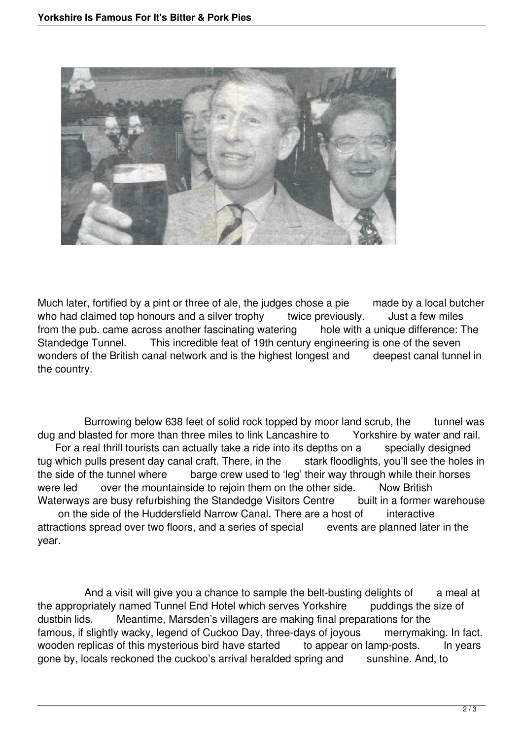

Much later, fortified by a pint or three of ale, the judges chose a pie made by a local butcher who had claimed top honours and a silver trophy twice previously. Just a few miles from the pub. came across another fascinating watering hole with a unique difference: The Standedae Tunnel. This incredible feat of 19th century engineering is one of the seven This incredible feat of 19th century engineering is one of the seven wonders of the British canal network and is the highest longest and deepest canal tunnel in the country.

Burrowing below 638 feet of solid rock topped by moor land scrub, the tunnel was lasted for more than three miles to link Lancashire to Yorkshire by water and rail. dug and blasted for more than three miles to link Lancashire to For a real thrill tourists can actually take a ride into its depths on a specially designed tug which pulls present day canal craft. There, in the stark floodlights, you'll see the holes in the side of the tunnel where barge crew used to 'leg' their way through while their horses were led over the mountainside to rejoin them on the other side. Now British Waterways are busy refurbishing the Standedge Visitors Centre built in a former warehouse on the side of the Huddersfield Narrow Canal. There are a host of interactive

attractions spread over two floors, and a series of special events are planned later in the year.

And a visit will give you a chance to sample the belt-busting delights of a meal at the appropriately named Tunnel End Hotel which serves Yorkshire puddings the size of dustbin lids. Meantime, Marsden's villagers are making final preparations for the famous, if slightly wacky, legend of Cuckoo Day, three-days of joyous merrymaking. In fact. wooden replicas of this mysterious bird have started to appear on lamp-posts. In years gone by, locals reckoned the cuckoo's arrival heralded spring and sunshine. And, to